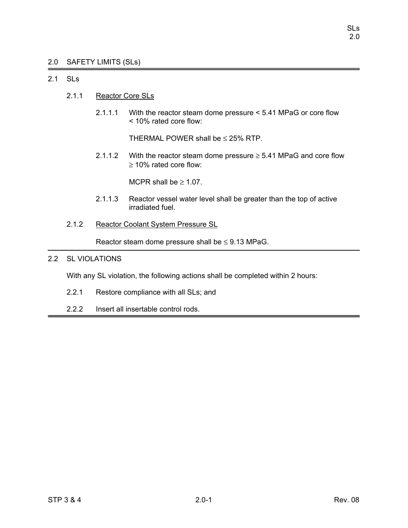# 2.0 SAFETY LIMITS (SLs)

# 2.1 SLs

- 2.1.1 Reactor Core SLs
	- 2.1.1.1 With the reactor steam dome pressure < 5.41 MPaG or core flow < 10% rated core flow:

THERMAL POWER shall be  $\leq$  25% RTP.

2.1.1.2 With the reactor steam dome pressure  $\geq$  5.41 MPaG and core flow ≥ 10% rated core flow:

MCPR shall be  $\geq 1.07$ .

- 2.1.1.3 Reactor vessel water level shall be greater than the top of active irradiated fuel.
- 2.1.2 Reactor Coolant System Pressure SL

Reactor steam dome pressure shall be  $\leq$  9.13 MPaG.

# 2.2 SL VIOLATIONS

With any SL violation, the following actions shall be completed within 2 hours:

- 2.2.1 Restore compliance with all SLs; and
- 2.2.2 Insert all insertable control rods.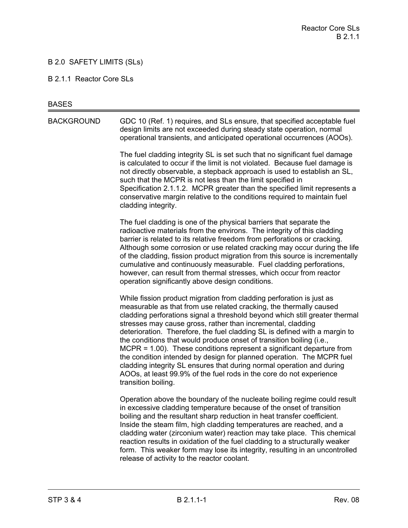# B 2.0 SAFETY LIMITS (SLs)

#### B 2.1.1 Reactor Core SLs

#### **BASES**

BACKGROUND GDC 10 (Ref. 1) requires, and SLs ensure, that specified acceptable fuel design limits are not exceeded during steady state operation, normal operational transients, and anticipated operational occurrences (AOOs).

> The fuel cladding integrity SL is set such that no significant fuel damage is calculated to occur if the limit is not violated. Because fuel damage is not directly observable, a stepback approach is used to establish an SL, such that the MCPR is not less than the limit specified in Specification 2.1.1.2. MCPR greater than the specified limit represents a conservative margin relative to the conditions required to maintain fuel cladding integrity.

The fuel cladding is one of the physical barriers that separate the radioactive materials from the environs. The integrity of this cladding barrier is related to its relative freedom from perforations or cracking. Although some corrosion or use related cracking may occur during the life of the cladding, fission product migration from this source is incrementally cumulative and continuously measurable. Fuel cladding perforations, however, can result from thermal stresses, which occur from reactor operation significantly above design conditions.

While fission product migration from cladding perforation is just as measurable as that from use related cracking, the thermally caused cladding perforations signal a threshold beyond which still greater thermal stresses may cause gross, rather than incremental, cladding deterioration. Therefore, the fuel cladding SL is defined with a margin to the conditions that would produce onset of transition boiling (i.e., MCPR = 1.00). These conditions represent a significant departure from the condition intended by design for planned operation. The MCPR fuel cladding integrity SL ensures that during normal operation and during AOOs, at least 99.9% of the fuel rods in the core do not experience transition boiling.

Operation above the boundary of the nucleate boiling regime could result in excessive cladding temperature because of the onset of transition boiling and the resultant sharp reduction in heat transfer coefficient. Inside the steam film, high cladding temperatures are reached, and a cladding water (zirconium water) reaction may take place. This chemical reaction results in oxidation of the fuel cladding to a structurally weaker form. This weaker form may lose its integrity, resulting in an uncontrolled release of activity to the reactor coolant.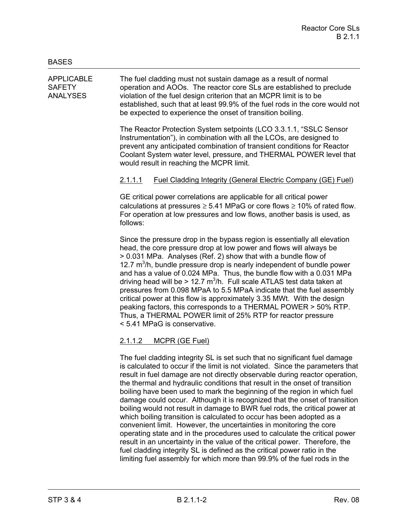APPLICABLE The fuel cladding must not sustain damage as a result of normal SAFETY operation and AOOs. The reactor core SLs are established to preclude ANALYSES violation of the fuel design criterion that an MCPR limit is to be established, such that at least 99.9% of the fuel rods in the core would not be expected to experience the onset of transition boiling.

> The Reactor Protection System setpoints (LCO 3.3.1.1, "SSLC Sensor Instrumentation"), in combination with all the LCOs, are designed to prevent any anticipated combination of transient conditions for Reactor Coolant System water level, pressure, and THERMAL POWER level that would result in reaching the MCPR limit.

# 2.1.1.1 Fuel Cladding Integrity (General Electric Company (GE) Fuel)

GE critical power correlations are applicable for all critical power calculations at pressures  $\geq 5.41$  MPaG or core flows  $\geq 10\%$  of rated flow. For operation at low pressures and low flows, another basis is used, as follows:

Since the pressure drop in the bypass region is essentially all elevation head, the core pressure drop at low power and flows will always be > 0.031 MPa. Analyses (Ref. 2) show that with a bundle flow of 12.7  $m<sup>3</sup>/h$ , bundle pressure drop is nearly independent of bundle power and has a value of 0.024 MPa. Thus, the bundle flow with a 0.031 MPa driving head will be > 12.7  $m^3/h$ . Full scale ATLAS test data taken at pressures from 0.098 MPaA to 5.5 MPaA indicate that the fuel assembly critical power at this flow is approximately 3.35 MWt. With the design peaking factors, this corresponds to a THERMAL POWER > 50% RTP. Thus, a THERMAL POWER limit of 25% RTP for reactor pressure < 5.41 MPaG is conservative.

# 2.1.1.2 MCPR (GE Fuel)

The fuel cladding integrity SL is set such that no significant fuel damage is calculated to occur if the limit is not violated. Since the parameters that result in fuel damage are not directly observable during reactor operation, the thermal and hydraulic conditions that result in the onset of transition boiling have been used to mark the beginning of the region in which fuel damage could occur. Although it is recognized that the onset of transition boiling would not result in damage to BWR fuel rods, the critical power at which boiling transition is calculated to occur has been adopted as a convenient limit. However, the uncertainties in monitoring the core operating state and in the procedures used to calculate the critical power result in an uncertainty in the value of the critical power. Therefore, the fuel cladding integrity SL is defined as the critical power ratio in the limiting fuel assembly for which more than 99.9% of the fuel rods in the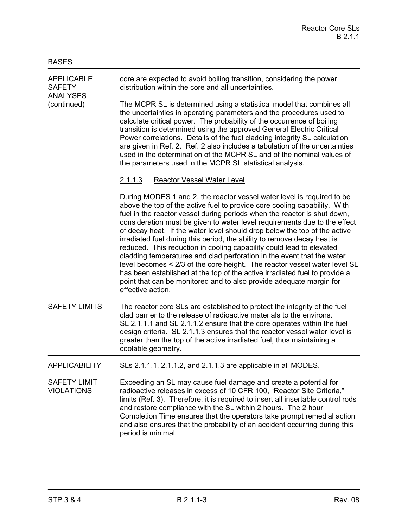| <b>APPLICABLE</b><br><b>SAFETY</b><br><b>ANALYSES</b><br>(continued) | core are expected to avoid boiling transition, considering the power<br>distribution within the core and all uncertainties.                                                                                                                                                                                                                                                                                                                                                                                                                                                                                                                                                                                                                                                                                                                                                   |
|----------------------------------------------------------------------|-------------------------------------------------------------------------------------------------------------------------------------------------------------------------------------------------------------------------------------------------------------------------------------------------------------------------------------------------------------------------------------------------------------------------------------------------------------------------------------------------------------------------------------------------------------------------------------------------------------------------------------------------------------------------------------------------------------------------------------------------------------------------------------------------------------------------------------------------------------------------------|
|                                                                      | The MCPR SL is determined using a statistical model that combines all<br>the uncertainties in operating parameters and the procedures used to<br>calculate critical power. The probability of the occurrence of boiling<br>transition is determined using the approved General Electric Critical<br>Power correlations. Details of the fuel cladding integrity SL calculation<br>are given in Ref. 2. Ref. 2 also includes a tabulation of the uncertainties<br>used in the determination of the MCPR SL and of the nominal values of<br>the parameters used in the MCPR SL statistical analysis.                                                                                                                                                                                                                                                                             |
|                                                                      | <b>Reactor Vessel Water Level</b><br><u>2.1.1.3</u>                                                                                                                                                                                                                                                                                                                                                                                                                                                                                                                                                                                                                                                                                                                                                                                                                           |
|                                                                      | During MODES 1 and 2, the reactor vessel water level is required to be<br>above the top of the active fuel to provide core cooling capability. With<br>fuel in the reactor vessel during periods when the reactor is shut down,<br>consideration must be given to water level requirements due to the effect<br>of decay heat. If the water level should drop below the top of the active<br>irradiated fuel during this period, the ability to remove decay heat is<br>reduced. This reduction in cooling capability could lead to elevated<br>cladding temperatures and clad perforation in the event that the water<br>level becomes < 2/3 of the core height. The reactor vessel water level SL<br>has been established at the top of the active irradiated fuel to provide a<br>point that can be monitored and to also provide adequate margin for<br>effective action. |
| <b>SAFETY LIMITS</b>                                                 | The reactor core SLs are established to protect the integrity of the fuel<br>clad barrier to the release of radioactive materials to the environs.<br>SL 2.1.1.1 and SL 2.1.1.2 ensure that the core operates within the fuel<br>design criteria. SL 2.1.1.3 ensures that the reactor vessel water level is<br>greater than the top of the active irradiated fuel, thus maintaining a<br>coolable geometry.                                                                                                                                                                                                                                                                                                                                                                                                                                                                   |
| <b>APPLICABILITY</b>                                                 | SLs 2.1.1.1, 2.1.1.2, and 2.1.1.3 are applicable in all MODES.                                                                                                                                                                                                                                                                                                                                                                                                                                                                                                                                                                                                                                                                                                                                                                                                                |
| <b>SAFETY LIMIT</b><br><b>VIOLATIONS</b>                             | Exceeding an SL may cause fuel damage and create a potential for<br>radioactive releases in excess of 10 CFR 100, "Reactor Site Criteria,"<br>limits (Ref. 3). Therefore, it is required to insert all insertable control rods<br>and restore compliance with the SL within 2 hours. The 2 hour<br>Completion Time ensures that the operators take prompt remedial action<br>and also ensures that the probability of an accident occurring during this<br>period is minimal.                                                                                                                                                                                                                                                                                                                                                                                                 |

BASES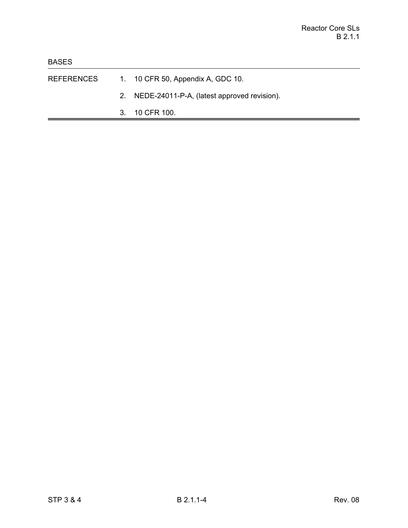- REFERENCES 1. 10 CFR 50, Appendix A, GDC 10.
	- 2. NEDE-24011-P-A, (latest approved revision).
	- 3. 10 CFR 100.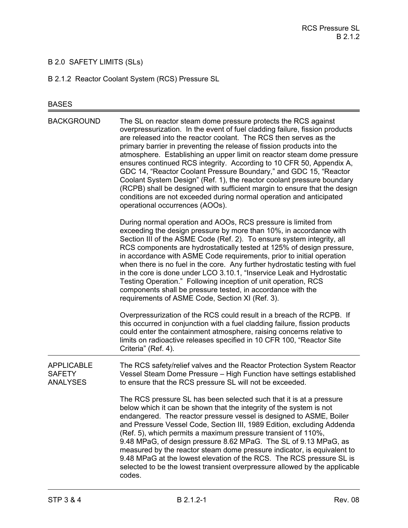# B 2.0 SAFETY LIMITS (SLs)

B 2.1.2 Reactor Coolant System (RCS) Pressure SL

# BASES

| <b>BACKGROUND</b>                                     | The SL on reactor steam dome pressure protects the RCS against<br>overpressurization. In the event of fuel cladding failure, fission products<br>are released into the reactor coolant. The RCS then serves as the<br>primary barrier in preventing the release of fission products into the<br>atmosphere. Establishing an upper limit on reactor steam dome pressure<br>ensures continued RCS integrity. According to 10 CFR 50, Appendix A,<br>GDC 14, "Reactor Coolant Pressure Boundary," and GDC 15, "Reactor<br>Coolant System Design" (Ref. 1), the reactor coolant pressure boundary<br>(RCPB) shall be designed with sufficient margin to ensure that the design<br>conditions are not exceeded during normal operation and anticipated<br>operational occurrences (AOOs). |
|-------------------------------------------------------|--------------------------------------------------------------------------------------------------------------------------------------------------------------------------------------------------------------------------------------------------------------------------------------------------------------------------------------------------------------------------------------------------------------------------------------------------------------------------------------------------------------------------------------------------------------------------------------------------------------------------------------------------------------------------------------------------------------------------------------------------------------------------------------|
|                                                       | During normal operation and AOOs, RCS pressure is limited from<br>exceeding the design pressure by more than 10%, in accordance with<br>Section III of the ASME Code (Ref. 2). To ensure system integrity, all<br>RCS components are hydrostatically tested at 125% of design pressure,<br>in accordance with ASME Code requirements, prior to initial operation<br>when there is no fuel in the core. Any further hydrostatic testing with fuel<br>in the core is done under LCO 3.10.1, "Inservice Leak and Hydrostatic<br>Testing Operation." Following inception of unit operation, RCS<br>components shall be pressure tested, in accordance with the<br>requirements of ASME Code, Section XI (Ref. 3).                                                                        |
|                                                       | Overpressurization of the RCS could result in a breach of the RCPB. If<br>this occurred in conjunction with a fuel cladding failure, fission products<br>could enter the containment atmosphere, raising concerns relative to<br>limits on radioactive releases specified in 10 CFR 100, "Reactor Site<br>Criteria" (Ref. 4).                                                                                                                                                                                                                                                                                                                                                                                                                                                        |
| <b>APPLICABLE</b><br><b>SAFETY</b><br><b>ANALYSES</b> | The RCS safety/relief valves and the Reactor Protection System Reactor<br>Vessel Steam Dome Pressure - High Function have settings established<br>to ensure that the RCS pressure SL will not be exceeded.                                                                                                                                                                                                                                                                                                                                                                                                                                                                                                                                                                           |
|                                                       | The RCS pressure SL has been selected such that it is at a pressure<br>below which it can be shown that the integrity of the system is not<br>endangered. The reactor pressure vessel is designed to ASME, Boiler<br>and Pressure Vessel Code, Section III, 1989 Edition, excluding Addenda<br>(Ref. 5), which permits a maximum pressure transient of 110%,<br>9.48 MPaG, of design pressure 8.62 MPaG. The SL of 9.13 MPaG, as<br>measured by the reactor steam dome pressure indicator, is equivalent to<br>9.48 MPaG at the lowest elevation of the RCS. The RCS pressure SL is<br>selected to be the lowest transient overpressure allowed by the applicable<br>codes.                                                                                                          |